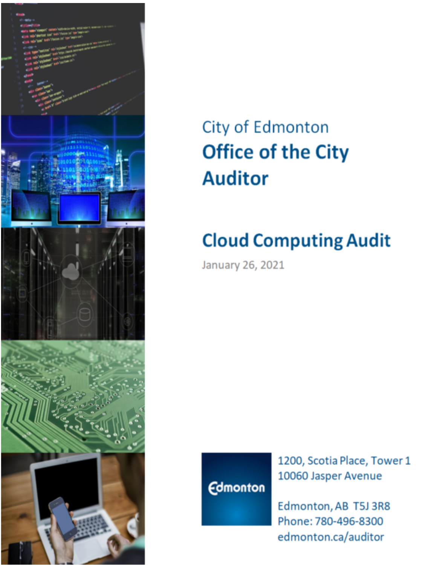

# **City of Edmonton Office of the City Auditor**

# **Cloud Computing Audit**

January 26, 2021

**Edmonton** 

1200, Scotia Place, Tower 1 10060 Jasper Avenue

Edmonton, AB T5J 3R8 Phone: 780-496-8300 edmonton.ca/auditor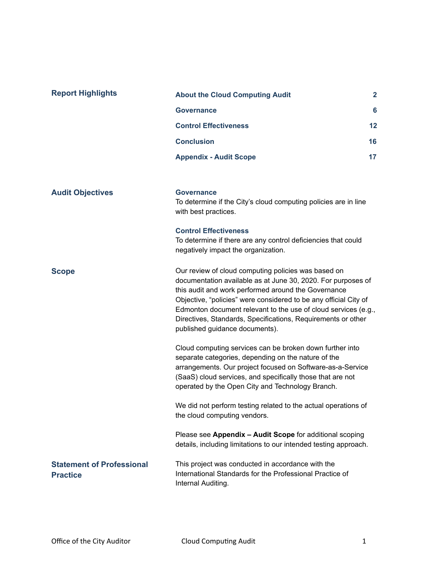| <b>Report Highlights</b>                            | <b>About the Cloud Computing Audit</b>                                                                                                                                                                                                                                                                                                                                                                             | $\mathbf{2}$ |
|-----------------------------------------------------|--------------------------------------------------------------------------------------------------------------------------------------------------------------------------------------------------------------------------------------------------------------------------------------------------------------------------------------------------------------------------------------------------------------------|--------------|
|                                                     | <b>Governance</b>                                                                                                                                                                                                                                                                                                                                                                                                  | 6            |
|                                                     | <b>Control Effectiveness</b>                                                                                                                                                                                                                                                                                                                                                                                       | 12           |
|                                                     | <b>Conclusion</b>                                                                                                                                                                                                                                                                                                                                                                                                  | 16           |
|                                                     | <b>Appendix - Audit Scope</b>                                                                                                                                                                                                                                                                                                                                                                                      | 17           |
|                                                     |                                                                                                                                                                                                                                                                                                                                                                                                                    |              |
| <b>Audit Objectives</b>                             | <b>Governance</b><br>To determine if the City's cloud computing policies are in line<br>with best practices.                                                                                                                                                                                                                                                                                                       |              |
|                                                     | <b>Control Effectiveness</b><br>To determine if there are any control deficiencies that could<br>negatively impact the organization.                                                                                                                                                                                                                                                                               |              |
| <b>Scope</b>                                        | Our review of cloud computing policies was based on<br>documentation available as at June 30, 2020. For purposes of<br>this audit and work performed around the Governance<br>Objective, "policies" were considered to be any official City of<br>Edmonton document relevant to the use of cloud services (e.g.,<br>Directives, Standards, Specifications, Requirements or other<br>published guidance documents). |              |
|                                                     | Cloud computing services can be broken down further into<br>separate categories, depending on the nature of the<br>arrangements. Our project focused on Software-as-a-Service<br>(SaaS) cloud services, and specifically those that are not<br>operated by the Open City and Technology Branch.                                                                                                                    |              |
|                                                     | We did not perform testing related to the actual operations of<br>the cloud computing vendors.                                                                                                                                                                                                                                                                                                                     |              |
|                                                     | Please see Appendix - Audit Scope for additional scoping<br>details, including limitations to our intended testing approach.                                                                                                                                                                                                                                                                                       |              |
| <b>Statement of Professional</b><br><b>Practice</b> | This project was conducted in accordance with the<br>International Standards for the Professional Practice of<br>Internal Auditing.                                                                                                                                                                                                                                                                                |              |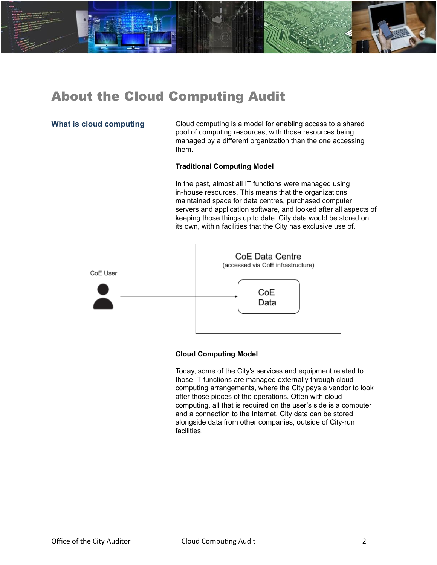<span id="page-2-0"></span>

**What is cloud computing** Cloud computing is a model for enabling access to a shared pool of computing resources, with those resources being managed by a different organization than the one accessing them.

#### **Traditional Computing Model**

In the past, almost all IT functions were managed using in-house resources. This means that the organizations maintained space for data centres, purchased computer servers and application software, and looked after all aspects of keeping those things up to date. City data would be stored on its own, within facilities that the City has exclusive use of.



#### **Cloud Computing Model**

Today, some of the City's services and equipment related to those IT functions are managed externally through cloud computing arrangements, where the City pays a vendor to look after those pieces of the operations. Often with cloud computing, all that is required on the user's side is a computer and a connection to the Internet. City data can be stored alongside data from other companies, outside of City-run facilities.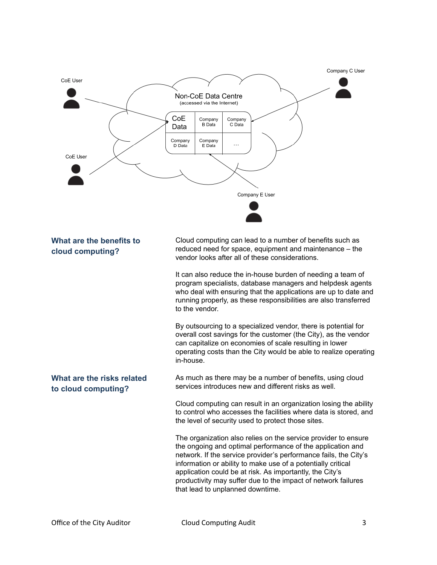

## **What are the benefits to cloud computing?**

Cloud computing can lead to a number of benefits such as reduced need for space, equipment and maintenance – the vendor looks after all of these considerations.

It can also reduce the in-house burden of needing a team of program specialists, database managers and helpdesk agents who deal with ensuring that the applications are up to date and running properly, as these responsibilities are also transferred to the vendor.

By outsourcing to a specialized vendor, there is potential for overall cost savings for the customer (the City), as the vendor can capitalize on economies of scale resulting in lower operating costs than the City would be able to realize operating in-house.

**What are the risks related to cloud computing?**

As much as there may be a number of benefits, using cloud services introduces new and different risks as well.

Cloud computing can result in an organization losing the ability to control who accesses the facilities where data is stored, and the level of security used to protect those sites.

The organization also relies on the service provider to ensure the ongoing and optimal performance of the application and network. If the service provider's performance fails, the City's information or ability to make use of a potentially critical application could be at risk. As importantly, the City's productivity may suffer due to the impact of network failures that lead to unplanned downtime.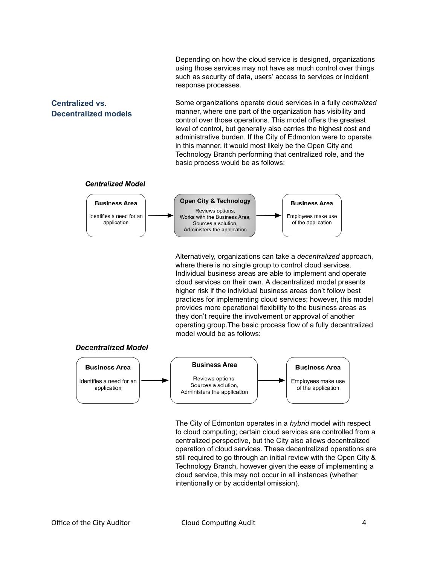Depending on how the cloud service is designed, organizations using those services may not have as much control over things such as security of data, users' access to services or incident response processes.

### **Centralized vs. Decentralized models**

Some organizations operate cloud services in a fully *centralized* manner, where one part of the organization has visibility and control over those operations. This model offers the greatest level of control, but generally also carries the highest cost and administrative burden. If the City of Edmonton were to operate in this manner, it would most likely be the Open City and Technology Branch performing that centralized role, and the basic process would be as follows:

#### **Centralized Model**

**Decentralized Model** 



Alternatively, organizations can take a *decentralized* approach, where there is no single group to control cloud services. Individual business areas are able to implement and operate cloud services on their own. A decentralized model presents higher risk if the individual business areas don't follow best practices for implementing cloud services; however, this model provides more operational flexibility to the business areas as they don't require the involvement or approval of another operating group.The basic process flow of a fully decentralized model would be as follows:



The City of Edmonton operates in a *hybrid* model with respect to cloud computing; certain cloud services are controlled from a centralized perspective, but the City also allows decentralized operation of cloud services. These decentralized operations are still required to go through an initial review with the Open City & Technology Branch, however given the ease of implementing a cloud service, this may not occur in all instances (whether intentionally or by accidental omission).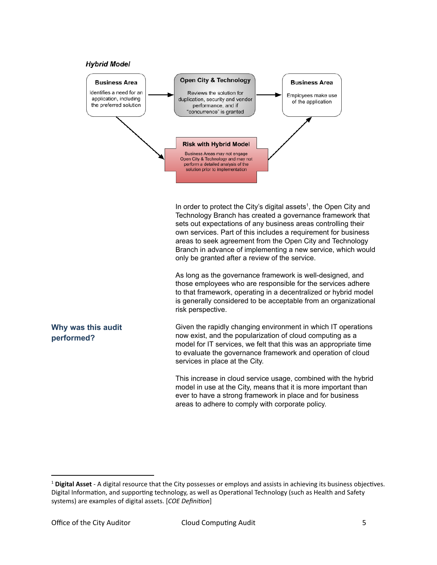



In order to protect the City's digital assets<sup>1</sup>, the Open City and Technology Branch has created a governance framework that sets out expectations of any business areas controlling their own services. Part of this includes a requirement for business areas to seek agreement from the Open City and Technology Branch in advance of implementing a new service, which would only be granted after a review of the service.

As long as the governance framework is well-designed, and those employees who are responsible for the services adhere to that framework, operating in a decentralized or hybrid model is generally considered to be acceptable from an organizational risk perspective.

**Why was this audit performed?**

Given the rapidly changing environment in which IT operations now exist, and the popularization of cloud computing as a model for IT services, we felt that this was an appropriate time to evaluate the governance framework and operation of cloud services in place at the City.

This increase in cloud service usage, combined with the hybrid model in use at the City, means that it is more important than ever to have a strong framework in place and for business areas to adhere to comply with corporate policy.

<sup>&</sup>lt;sup>1</sup> Digital Asset - A digital resource that the City possesses or employs and assists in achieving its business objectives. Digital Information, and supporting technology, as well as Operational Technology (such as Health and Safety systems) are examples of digital assets. [*COE Definion*]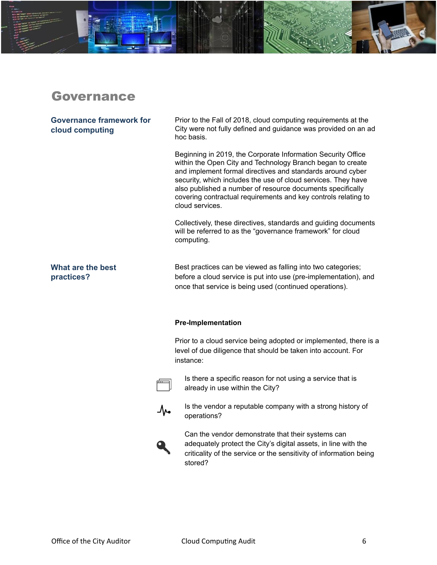## <span id="page-6-0"></span>Governance

#### **Governance framework for cloud computing**

Prior to the Fall of 2018, cloud computing requirements at the City were not fully defined and guidance was provided on an ad hoc basis.

Beginning in 2019, the Corporate Information Security Office within the Open City and Technology Branch began to create and implement formal directives and standards around cyber security, which includes the use of cloud services. They have also published a number of resource documents specifically covering contractual requirements and key controls relating to cloud services.

Collectively, these directives, standards and guiding documents will be referred to as the "governance framework" for cloud computing.

### **What are the best practices?**

Best practices can be viewed as falling into two categories; before a cloud service is put into use (pre-implementation), and once that service is being used (continued operations).

#### **Pre-Implementation**

Prior to a cloud service being adopted or implemented, there is a level of due diligence that should be taken into account. For instance:



Is there a specific reason for not using a service that is already in use within the City?



Is the vendor a reputable company with a strong history of operations?



Can the vendor demonstrate that their systems can adequately protect the City's digital assets, in line with the criticality of the service or the sensitivity of information being stored?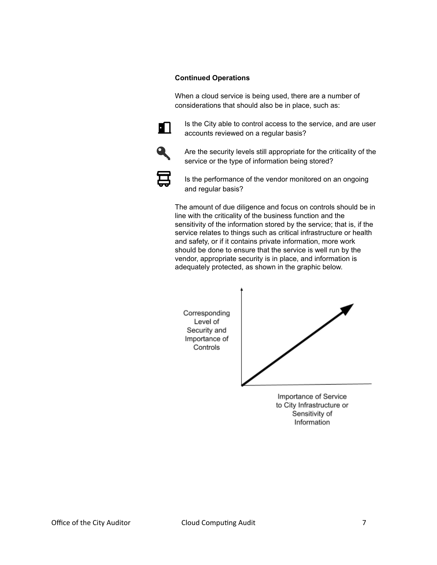#### **Continued Operations**

When a cloud service is being used, there are a number of considerations that should also be in place, such as:



Is the City able to control access to the service, and are user accounts reviewed on a regular basis?



Are the security levels still appropriate for the criticality of the service or the type of information being stored?



Is the performance of the vendor monitored on an ongoing and regular basis?

The amount of due diligence and focus on controls should be in line with the criticality of the business function and the sensitivity of the information stored by the service; that is, if the service relates to things such as critical infrastructure or health and safety, or if it contains private information, more work should be done to ensure that the service is well run by the vendor, appropriate security is in place, and information is adequately protected, as shown in the graphic below.



Importance of Service to City Infrastructure or Sensitivity of Information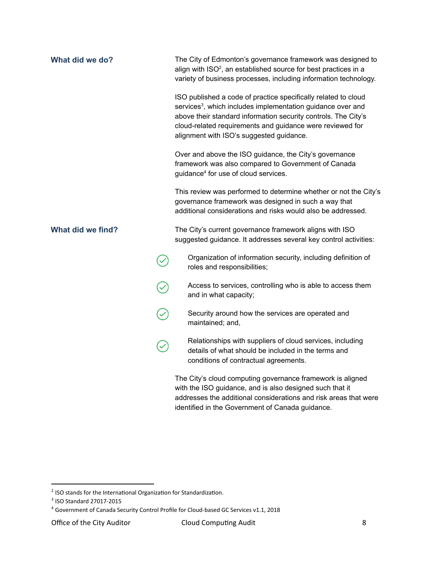| What did we do?   | The City of Edmonton's governance framework was designed to<br>align with ISO <sup>2</sup> , an established source for best practices in a<br>variety of business processes, including information technology.                                                                                                       |
|-------------------|----------------------------------------------------------------------------------------------------------------------------------------------------------------------------------------------------------------------------------------------------------------------------------------------------------------------|
|                   | ISO published a code of practice specifically related to cloud<br>services <sup>3</sup> , which includes implementation guidance over and<br>above their standard information security controls. The City's<br>cloud-related requirements and guidance were reviewed for<br>alignment with ISO's suggested guidance. |
|                   | Over and above the ISO guidance, the City's governance<br>framework was also compared to Government of Canada<br>guidance <sup>4</sup> for use of cloud services.                                                                                                                                                    |
|                   | This review was performed to determine whether or not the City's<br>governance framework was designed in such a way that<br>additional considerations and risks would also be addressed.                                                                                                                             |
| What did we find? | The City's current governance framework aligns with ISO<br>suggested guidance. It addresses several key control activities:                                                                                                                                                                                          |
|                   | Organization of information security, including definition of<br>roles and responsibilities;                                                                                                                                                                                                                         |
|                   | Access to services, controlling who is able to access them<br>and in what capacity;                                                                                                                                                                                                                                  |
|                   | Security around how the services are operated and<br>maintained; and,                                                                                                                                                                                                                                                |
|                   | Relationships with suppliers of cloud services, including<br>details of what should be included in the terms and<br>conditions of contractual agreements.                                                                                                                                                            |
|                   | The City's cloud computing governance framework is aligned<br>with the ISO guidance, and is also designed such that it<br>addresses the additional considerations and risk areas that were<br>identified in the Government of Canada guidance.                                                                       |

 $2$  ISO stands for the International Organization for Standardization.

<sup>3</sup> ISO Standard 27017-2015

<sup>4</sup> Government of Canada Security Control Profile for Cloud-based GC Services v1.1, 2018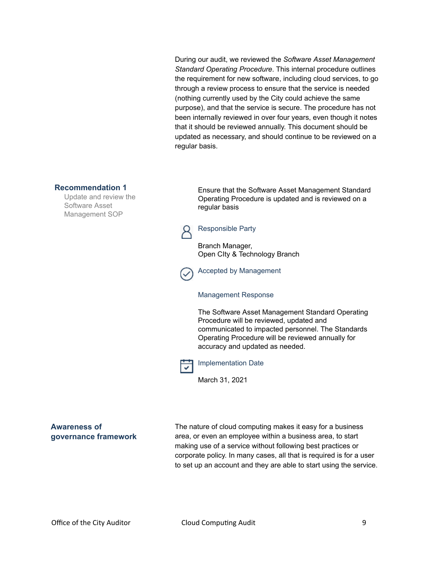During our audit, we reviewed the *Software Asset Management Standard Operating Procedure*. This internal procedure outlines the requirement for new software, including cloud services, to go through a review process to ensure that the service is needed (nothing currently used by the City could achieve the same purpose), and that the service is secure. The procedure has not been internally reviewed in over four years, even though it notes that it should be reviewed annually. This document should be updated as necessary, and should continue to be reviewed on a regular basis.

#### **Recommendation 1**

Update and review the Software Asset Management SOP

Ensure that the Software Asset Management Standard Operating Procedure is updated and is reviewed on a regular basis

## Responsible Party

Branch Manager, Open CIty & Technology Branch

Accepted by Management

#### Management Response

The Software Asset Management Standard Operating Procedure will be reviewed, updated and communicated to impacted personnel. The Standards Operating Procedure will be reviewed annually for accuracy and updated as needed.



Implementation Date

March 31, 2021

**Awareness of governance framework** The nature of cloud computing makes it easy for a business area, or even an employee within a business area, to start making use of a service without following best practices or corporate policy. In many cases, all that is required is for a user to set up an account and they are able to start using the service.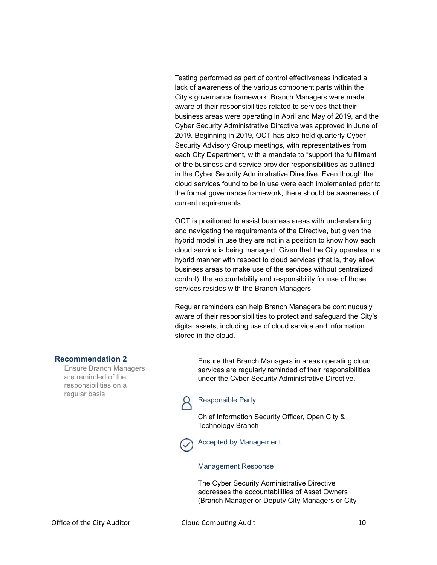Testing performed as part of control effectiveness indicated a lack of awareness of the various component parts within the City's governance framework. Branch Managers were made aware of their responsibilities related to services that their business areas were operating in April and May of 2019, and the Cyber Security Administrative Directive was approved in June of 2019. Beginning in 2019, OCT has also held quarterly Cyber Security Advisory Group meetings, with representatives from each City Department, with a mandate to "support the fulfillment of the business and service provider responsibilities as outlined in the Cyber Security Administrative Directive. Even though the cloud services found to be in use were each implemented prior to the formal governance framework, there should be awareness of current requirements.

OCT is positioned to assist business areas with understanding and navigating the requirements of the Directive, but given the hybrid model in use they are not in a position to know how each cloud service is being managed. Given that the City operates in a hybrid manner with respect to cloud services (that is, they allow business areas to make use of the services without centralized control), the accountability and responsibility for use of those services resides with the Branch Managers.

Regular reminders can help Branch Managers be continuously aware of their responsibilities to protect and safeguard the City's digital assets, including use of cloud service and information stored in the cloud.

#### **Recommendation 2**

Ensure Branch Managers are reminded of the responsibilities on a regular basis

Ensure that Branch Managers in areas operating cloud services are regularly reminded of their responsibilities under the Cyber Security Administrative Directive.



#### Responsible Party

Chief Information Security Officer, Open City & Technology Branch

Accepted by Management

#### Management Response

The Cyber Security Administrative Directive addresses the accountabilities of Asset Owners (Branch Manager or Deputy City Managers or City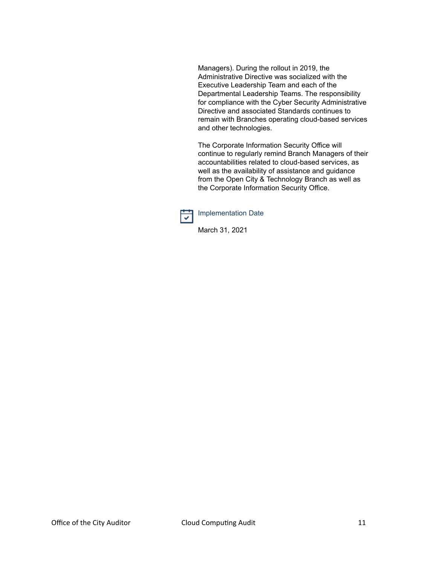Managers). During the rollout in 2019, the Administrative Directive was socialized with the Executive Leadership Team and each of the Departmental Leadership Teams. The responsibility for compliance with the Cyber Security Administrative Directive and associated Standards continues to remain with Branches operating cloud-based services and other technologies.

The Corporate Information Security Office will continue to regularly remind Branch Managers of their accountabilities related to cloud-based services, as well as the availability of assistance and guidance from the Open City & Technology Branch as well as the Corporate Information Security Office.



Implementation Date

March 31, 2021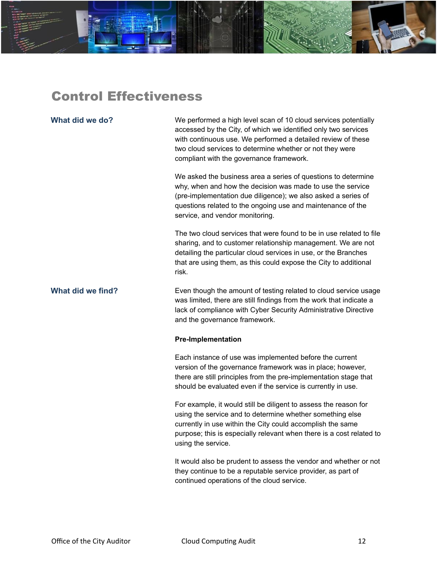<span id="page-12-0"></span>

**What did we do?** We performed a high level scan of 10 cloud services potentially accessed by the City, of which we identified only two services with continuous use. We performed a detailed review of these two cloud services to determine whether or not they were compliant with the governance framework.

> We asked the business area a series of questions to determine why, when and how the decision was made to use the service (pre-implementation due diligence); we also asked a series of questions related to the ongoing use and maintenance of the service, and vendor monitoring.

The two cloud services that were found to be in use related to file sharing, and to customer relationship management. We are not detailing the particular cloud services in use, or the Branches that are using them, as this could expose the City to additional risk.

**What did we find?** Even though the amount of testing related to cloud service usage was limited, there are still findings from the work that indicate a lack of compliance with Cyber Security Administrative Directive and the governance framework.

#### **Pre-Implementation**

Each instance of use was implemented before the current version of the governance framework was in place; however, there are still principles from the pre-implementation stage that should be evaluated even if the service is currently in use.

For example, it would still be diligent to assess the reason for using the service and to determine whether something else currently in use within the City could accomplish the same purpose; this is especially relevant when there is a cost related to using the service.

It would also be prudent to assess the vendor and whether or not they continue to be a reputable service provider, as part of continued operations of the cloud service.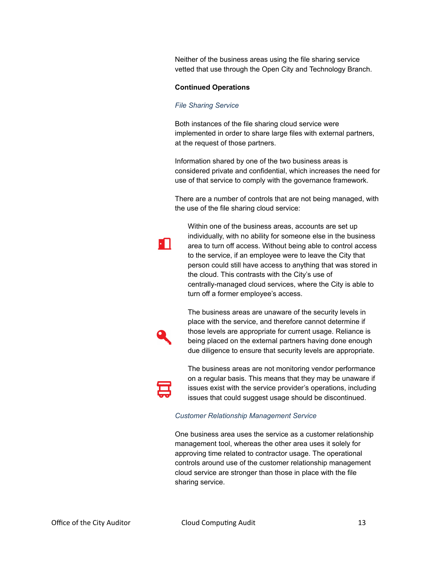Neither of the business areas using the file sharing service vetted that use through the Open City and Technology Branch.

#### **Continued Operations**

#### *File Sharing Service*

Both instances of the file sharing cloud service were implemented in order to share large files with external partners, at the request of those partners.

Information shared by one of the two business areas is considered private and confidential, which increases the need for use of that service to comply with the governance framework.

There are a number of controls that are not being managed, with the use of the file sharing cloud service:

Within one of the business areas, accounts are set up individually, with no ability for someone else in the business area to turn off access. Without being able to control access to the service, if an employee were to leave the City that person could still have access to anything that was stored in the cloud. This contrasts with the City's use of centrally-managed cloud services, where the City is able to turn off a former employee's access.

The business areas are unaware of the security levels in place with the service, and therefore cannot determine if those levels are appropriate for current usage. Reliance is being placed on the external partners having done enough due diligence to ensure that security levels are appropriate.



- 11

The business areas are not monitoring vendor performance on a regular basis. This means that they may be unaware if issues exist with the service provider's operations, including issues that could suggest usage should be discontinued.

#### *Customer Relationship Management Service*

One business area uses the service as a customer relationship management tool, whereas the other area uses it solely for approving time related to contractor usage. The operational controls around use of the customer relationship management cloud service are stronger than those in place with the file sharing service.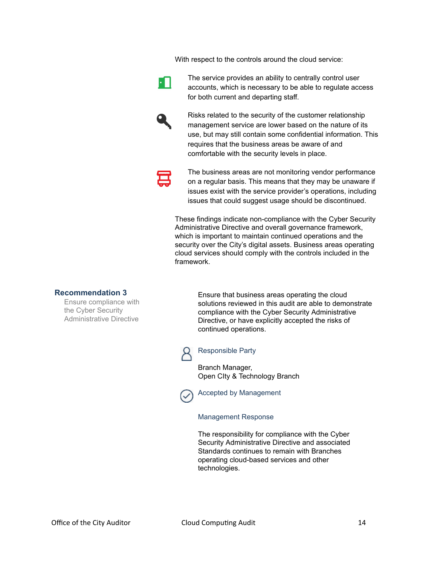With respect to the controls around the cloud service:



The service provides an ability to centrally control user accounts, which is necessary to be able to regulate access for both current and departing staff.



Risks related to the security of the customer relationship management service are lower based on the nature of its use, but may still contain some confidential information. This requires that the business areas be aware of and comfortable with the security levels in place.



The business areas are not monitoring vendor performance on a regular basis. This means that they may be unaware if issues exist with the service provider's operations, including issues that could suggest usage should be discontinued.

These findings indicate non-compliance with the Cyber Security Administrative Directive and overall governance framework, which is important to maintain continued operations and the security over the City's digital assets. Business areas operating cloud services should comply with the controls included in the framework.

#### **Recommendation 3**

Ensure compliance with the Cyber Security Administrative Directive

Ensure that business areas operating the cloud solutions reviewed in this audit are able to demonstrate compliance with the Cyber Security Administrative Directive, or have explicitly accepted the risks of continued operations.

Responsible Party

Branch Manager, Open CIty & Technology Branch

Accepted by Management

Management Response

The responsibility for compliance with the Cyber Security Administrative Directive and associated Standards continues to remain with Branches operating cloud-based services and other technologies.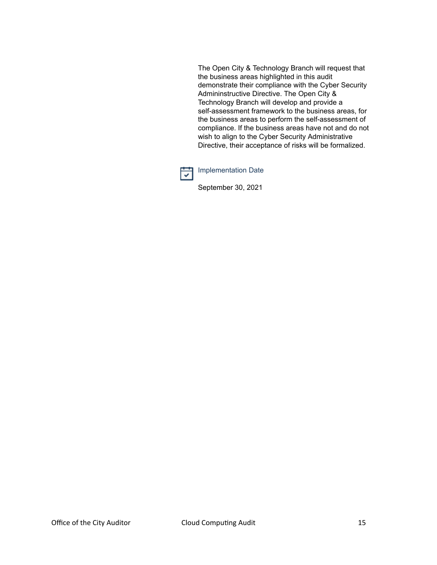The Open City & Technology Branch will request that the business areas highlighted in this audit demonstrate their compliance with the Cyber Security Admininstructive Directive. The Open City & Technology Branch will develop and provide a self-assessment framework to the business areas, for the business areas to perform the self-assessment of compliance. If the business areas have not and do not wish to align to the Cyber Security Administrative Directive, their acceptance of risks will be formalized.



Implementation Date

September 30, 2021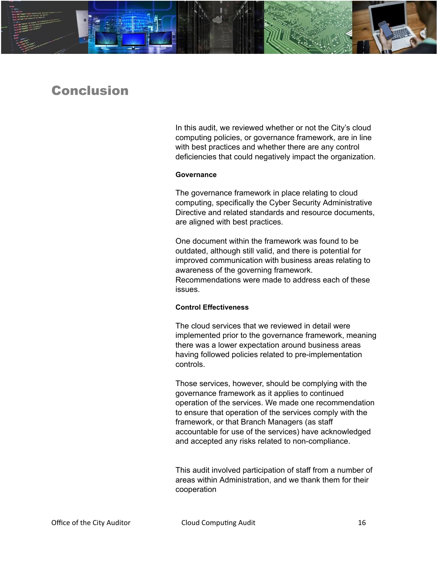

## <span id="page-16-0"></span>Conclusion

In this audit, we reviewed whether or not the City's cloud computing policies, or governance framework, are in line with best practices and whether there are any control deficiencies that could negatively impact the organization.

#### **Governance**

The governance framework in place relating to cloud computing, specifically the Cyber Security Administrative Directive and related standards and resource documents, are aligned with best practices.

One document within the framework was found to be outdated, although still valid, and there is potential for improved communication with business areas relating to awareness of the governing framework. Recommendations were made to address each of these issues.

#### **Control Effectiveness**

The cloud services that we reviewed in detail were implemented prior to the governance framework, meaning there was a lower expectation around business areas having followed policies related to pre-implementation controls.

Those services, however, should be complying with the governance framework as it applies to continued operation of the services. We made one recommendation to ensure that operation of the services comply with the framework, or that Branch Managers (as staff accountable for use of the services) have acknowledged and accepted any risks related to non-compliance.

This audit involved participation of staff from a number of areas within Administration, and we thank them for their cooperation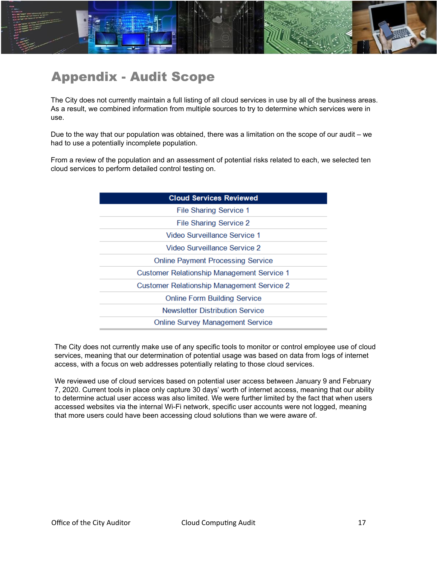

# <span id="page-17-0"></span>Appendix - Audit Scope

The City does not currently maintain a full listing of all cloud services in use by all of the business areas. As a result, we combined information from multiple sources to try to determine which services were in use.

Due to the way that our population was obtained, there was a limitation on the scope of our audit – we had to use a potentially incomplete population.

From a review of the population and an assessment of potential risks related to each, we selected ten cloud services to perform detailed control testing on.

| <b>Cloud Services Reviewed</b>                    |  |  |  |
|---------------------------------------------------|--|--|--|
| <b>File Sharing Service 1</b>                     |  |  |  |
| File Sharing Service 2                            |  |  |  |
| Video Surveillance Service 1                      |  |  |  |
| Video Surveillance Service 2                      |  |  |  |
| <b>Online Payment Processing Service</b>          |  |  |  |
| Customer Relationship Management Service 1        |  |  |  |
| <b>Customer Relationship Management Service 2</b> |  |  |  |
| <b>Online Form Building Service</b>               |  |  |  |
| <b>Newsletter Distribution Service</b>            |  |  |  |
| <b>Online Survey Management Service</b>           |  |  |  |

The City does not currently make use of any specific tools to monitor or control employee use of cloud services, meaning that our determination of potential usage was based on data from logs of internet access, with a focus on web addresses potentially relating to those cloud services.

We reviewed use of cloud services based on potential user access between January 9 and February 7, 2020. Current tools in place only capture 30 days' worth of internet access, meaning that our ability to determine actual user access was also limited. We were further limited by the fact that when users accessed websites via the internal Wi-Fi network, specific user accounts were not logged, meaning that more users could have been accessing cloud solutions than we were aware of.